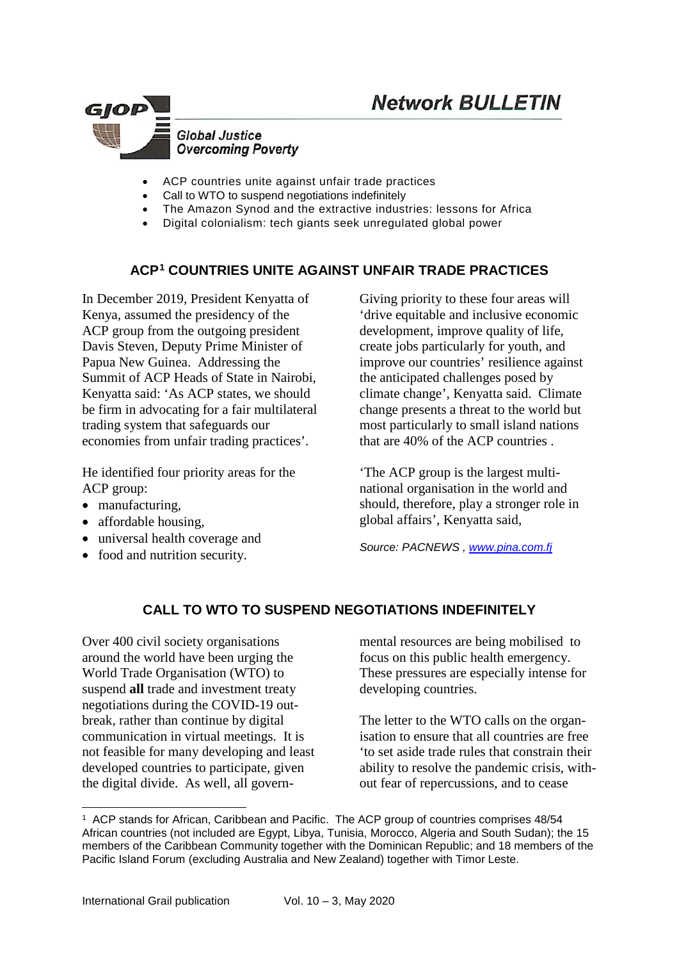

- ACP countries unite against unfair trade practices
- Call to WTO to suspend negotiations indefinitely
- The Amazon Synod and the extractive industries: lessons for Africa
- Digital colonialism: tech giants seek unregulated global power

# **ACP[1](#page-0-0) COUNTRIES UNITE AGAINST UNFAIR TRADE PRACTICES**

In December 2019, President Kenyatta of Kenya, assumed the presidency of the ACP group from the outgoing president Davis Steven, Deputy Prime Minister of Papua New Guinea. Addressing the Summit of ACP Heads of State in Nairobi, Kenyatta said: 'As ACP states, we should be firm in advocating for a fair multilateral trading system that safeguards our economies from unfair trading practices'.

He identified four priority areas for the ACP group:

- manufacturing,
- affordable housing.
- universal health coverage and
- food and nutrition security.

Giving priority to these four areas will 'drive equitable and inclusive economic development, improve quality of life, create jobs particularly for youth, and improve our countries' resilience against the anticipated challenges posed by climate change', Kenyatta said. Climate change presents a threat to the world but most particularly to small island nations that are 40% of the ACP countries .

'The ACP group is the largest multinational organisation in the world and should, therefore, play a stronger role in global affairs', Kenyatta said,

*Source: PACNEWS , [www.pina.com.fj](http://www.pina.com.fj/)*

## **CALL TO WTO TO SUSPEND NEGOTIATIONS INDEFINITELY**

Over 400 civil society organisations around the world have been urging the World Trade Organisation (WTO) to suspend **all** trade and investment treaty negotiations during the COVID-19 outbreak, rather than continue by digital communication in virtual meetings. It is not feasible for many developing and least developed countries to participate, given the digital divide. As well, all governmental resources are being mobilised to focus on this public health emergency. These pressures are especially intense for developing countries.

The letter to the WTO calls on the organisation to ensure that all countries are free 'to set aside trade rules that constrain their ability to resolve the pandemic crisis, without fear of repercussions, and to cease

1

<span id="page-0-0"></span><sup>1</sup> ACP stands for African, Caribbean and Pacific. The ACP group of countries comprises 48/54 African countries (not included are Egypt, Libya, Tunisia, Morocco, Algeria and South Sudan); the 15 members of the Caribbean Community together with the Dominican Republic; and 18 members of the Pacific Island Forum (excluding Australia and New Zealand) together with Timor Leste.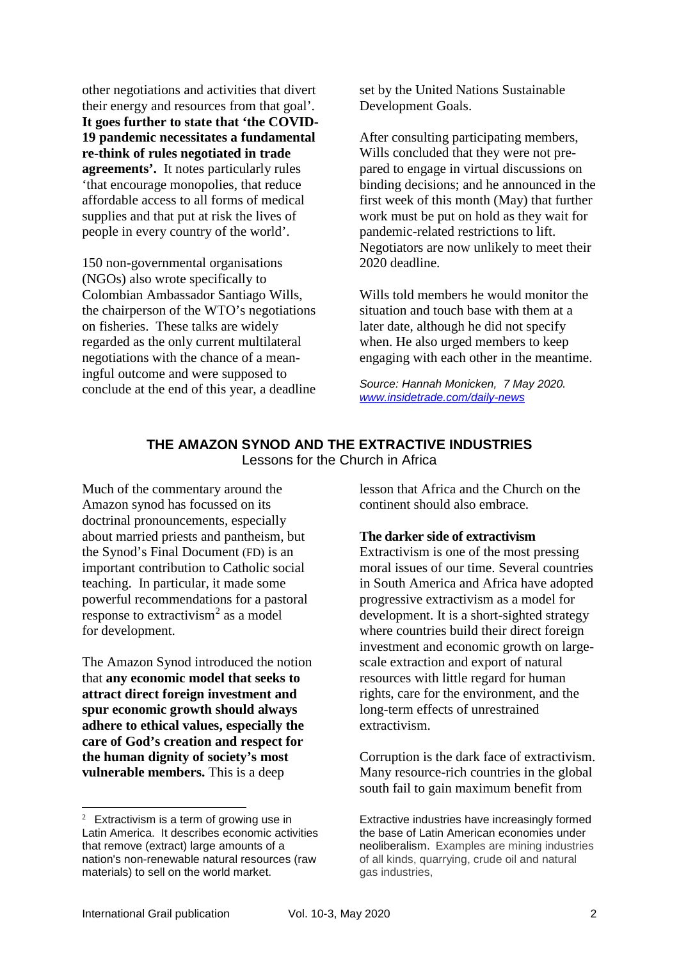other negotiations and activities that divert their energy and resources from that goal'. **It goes further to state that 'the COVID-19 pandemic necessitates a fundamental re-think of rules negotiated in trade agreements'.** It notes particularly rules 'that encourage monopolies, that reduce affordable access to all forms of medical supplies and that put at risk the lives of people in every country of the world'.

150 non-governmental organisations (NGOs) also wrote specifically to Colombian Ambassador Santiago Wills, the chairperson of the WTO's negotiations on fisheries. These talks are widely regarded as the only current multilateral negotiations with the chance of a meaningful outcome and were supposed to conclude at the end of this year, a deadline set by the United Nations Sustainable Development Goals.

After consulting participating members, Wills concluded that they were not prepared to engage in virtual discussions on binding decisions; and he announced in the first week of this month (May) that further work must be put on hold as they wait for pandemic-related restrictions to lift. Negotiators are now unlikely to meet their 2020 deadline.

Wills told members he would monitor the situation and touch base with them at a later date, although he did not specify when. He also urged members to keep engaging with each other in the meantime.

*Source: Hannah Monicken, 7 May 2020. [www.insidetrade.com/daily-news](http://www.insidetrade.com/daily-news)*

## **THE AMAZON SYNOD AND THE EXTRACTIVE INDUSTRIES** Lessons for the Church in Africa

Much of the commentary around the Amazon synod has focussed on its doctrinal pronouncements, especially about married priests and pantheism, but the Synod's Final [Document](https://zenit.org/articles/amazon-synod-zenit-translation-of-final-document-introduction-and-chapter-one/) (FD) is an important contribution to Catholic social teaching. In particular, it made some powerful recommendations for a pastoral response to extractivism<sup>[2](#page-1-0)</sup> as a model for development.

The Amazon Synod introduced the notion that **any economic model that seeks to attract direct foreign investment and spur economic growth should always adhere to ethical values, especially the care of God's creation and respect for the human dignity of society's most vulnerable members.** This is a deep

lesson that Africa and the Church on the continent should also embrace.

#### **The darker side of extractivism**

Extractivism is one of the most pressing moral issues of our time. Several countries in South America and Africa have adopted progressive extractivism as a model for development. It is a short-sighted strategy where countries build their direct foreign investment and economic growth on largescale extraction and export of natural resources with little regard for human rights, care for the environment, and the long-term effects of unrestrained extractivism.

Corruption is the dark face of extractivism. Many resource-rich countries in the global south fail to gain maximum benefit from

<span id="page-1-0"></span> $\frac{1}{2}$  $2$  Extractivism is a term of growing use in Latin America. It describes economic activities that remove (extract) large amounts of a nation's non-renewable natural resources (raw materials) to sell on the world market.

Extractive industries have increasingly formed the base of Latin American economies under neoliberalism. Examples are mining industries of all kinds, quarrying, crude oil and natural gas industries,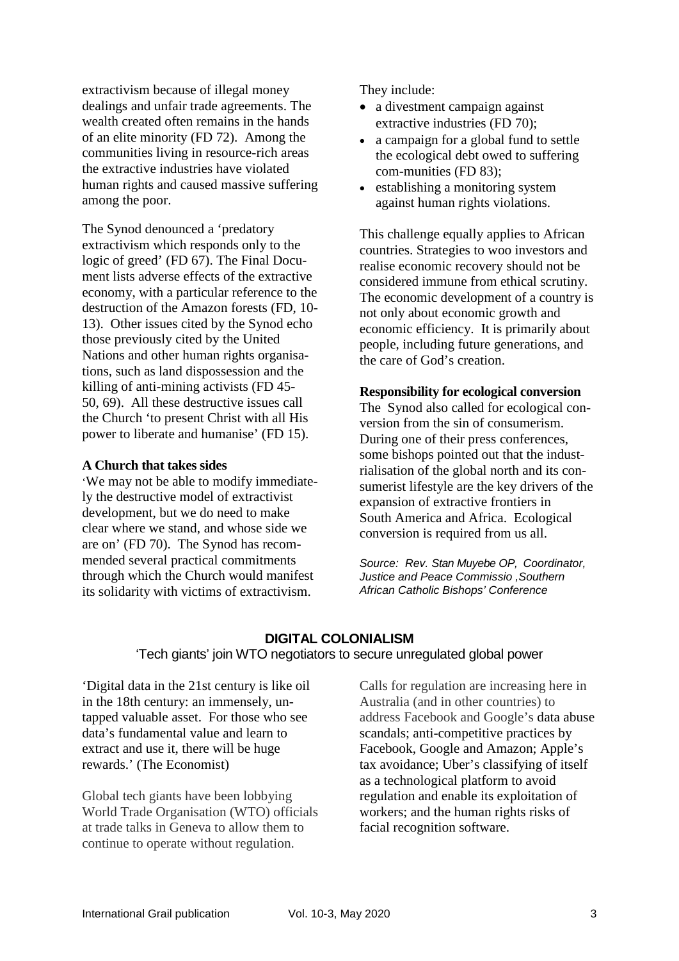extractivism because of illegal money dealings and unfair trade agreements. The wealth created often remains in the hands of an elite minority (FD 72). Among the communities living in resource-rich areas the extractive industries have violated human rights and caused massive suffering among the poor.

The Synod denounced a 'predatory extractivism which responds only to the logic of greed' (FD 67). The Final Document lists adverse effects of the extractive economy, with a particular reference to the destruction of the Amazon forests (FD, 10- 13). Other issues cited by the Synod echo those previously cited by the United Nations and other human rights organisations, such as land dispossession and the killing of anti-mining activists (FD 45- 50, 69). All these destructive issues call the Church 'to present Christ with all His power to liberate and humanise' (FD 15).

#### **A Church that takes sides**

'We may not be able to modify immediately the destructive model of extractivist development, but we do need to make clear where we stand, and whose side we are on' (FD 70). The Synod has recommended several practical commitments through which the Church would manifest its solidarity with victims of extractivism.

They include:

- a divestment campaign against extractive industries (FD 70);
- a campaign for a global fund to settle the ecological debt owed to suffering com-munities (FD 83);
- establishing a monitoring system against human rights violations.

This challenge equally applies to African countries. Strategies to woo investors and realise economic recovery should not be considered immune from ethical scrutiny. The economic development of a country is not only about economic growth and economic efficiency. It is primarily about people, including future generations, and the care of God's creation.

#### **Responsibility for ecological conversion**

The Synod also called for ecological conversion from the sin of consumerism. During one of their press conferences, some bishops pointed out that the industrialisation of the global north and its consumerist lifestyle are the key drivers of the expansion of extractive frontiers in South America and Africa. Ecological conversion is required from us all.

*Source: Rev. Stan [Muyebe](https://spotlight.africa/author/stan-muyebe/) OP, Coordinator, Justice and Peace Commissio ,Southern African Catholic Bishops' Conference*

## **DIGITAL COLONIALISM**  'Tech giants' join WTO negotiators to secure unregulated global power

'Digital data in the 21st century is like oil in the 18th century: an immensely, untapped valuable asset. For those who see data's fundamental value and learn to extract and use it, there will be huge rewards.' (The Economist)

Global tech giants have been lobbying World Trade Organisation (WTO) officials at trade talks in Geneva to allow them to continue to operate without regulation.

Calls for regulation are increasing here in Australia (and in other countries) to address Facebook and Google's data [abuse](https://www.theguardian.com/technology/2018/oct/25/facebook-fined-uk-privacy-access-user-data-cambridge-analytica;) [scandals;](https://www.theguardian.com/technology/2018/oct/25/facebook-fined-uk-privacy-access-user-data-cambridge-analytica;) [anti-competitive](https://www.theguardian.com/technology/2019/jun/03/tech-monopoly-congress-increases-antitrust-scrutiny-on-facebook-google-amazon) practices by Facebook, Google and Amazon; Apple's [tax](https://www.nytimes.com/2017/11/06/world/apple-taxes-jersey.html) avoidance; Uber's classifying of itself as a technological platform to [avoid](https://www.theguardian.com/technology/2017/dec/20/uber-european-court-of-justice-ruling-barcelona-taxi-drivers-ecj-eu) regulation and enable its [exploitation](https://www.theguardian.com/technology/2017/dec/20/uber-european-court-of-justice-ruling-barcelona-taxi-drivers-ecj-eu) of [workers;](https://www.theguardian.com/technology/2017/dec/20/uber-european-court-of-justice-ruling-barcelona-taxi-drivers-ecj-eu) and the human rights risks of facial [recognition](https://www.smh.com.au/technology/it-s-creepy-the-secretive-company-co-founded-by-an-australian-that-might-end-privacy-as-we-know-it-20200119-p53sod.html) software.